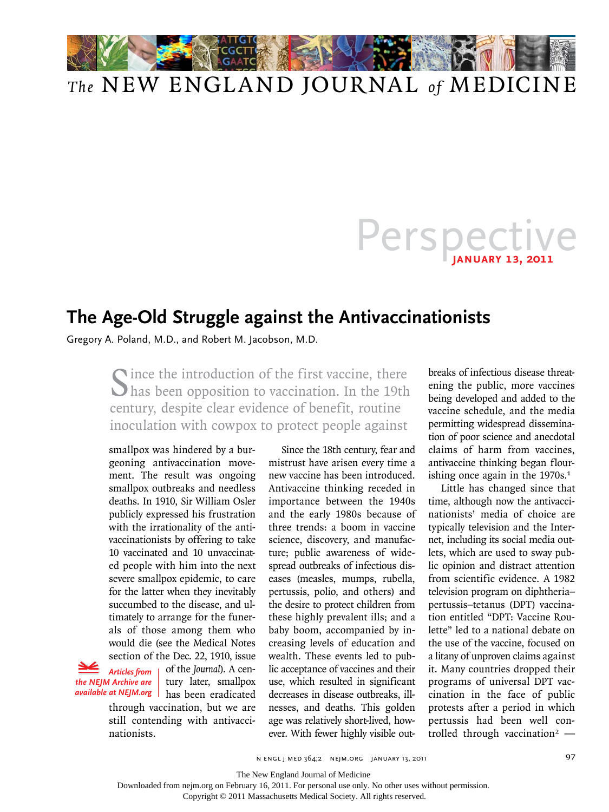

## *The* NEW ENGLAND JOURNAL *of* MEDICINE

## Perspective

## **The Age-Old Struggle against the Antivaccinationists**

Gregory A. Poland, M.D., and Robert M. Jacobson, M.D.

Cince the introduction of the first vaccine, there has been opposition to vaccination. In the 19th century, despite clear evidence of benefit, routine inoculation with cowpox to protect people against

smallpox was hindered by a burgeoning antivaccination movement. The result was ongoing smallpox outbreaks and needless deaths. In 1910, Sir William Osler publicly expressed his frustration with the irrationality of the antivaccinationists by offering to take 10 vaccinated and 10 unvaccinated people with him into the next severe smallpox epidemic, to care for the latter when they inevitably succumbed to the disease, and ultimately to arrange for the funerals of those among them who would die (see the Medical Notes section of the Dec. 22, 1910, issue

 *Articles from the NEJM Archive are* 

of the *Journal*). A century later, smallpox available at NEJM.org | has been eradicated

through vaccination, but we are still contending with antivaccinationists.

Since the 18th century, fear and mistrust have arisen every time a new vaccine has been introduced. Antivaccine thinking receded in importance between the 1940s and the early 1980s because of three trends: a boom in vaccine science, discovery, and manufacture; public awareness of widespread outbreaks of infectious diseases (measles, mumps, rubella, pertussis, polio, and others) and the desire to protect children from these highly prevalent ills; and a baby boom, accompanied by increasing levels of education and wealth. These events led to public acceptance of vaccines and their use, which resulted in significant decreases in disease outbreaks, illnesses, and deaths. This golden age was relatively short-lived, however. With fewer highly visible out-

breaks of infectious disease threatening the public, more vaccines being developed and added to the vaccine schedule, and the media permitting widespread dissemination of poor science and anecdotal claims of harm from vaccines, antivaccine thinking began flourishing once again in the  $1970s<sup>1</sup>$ 

Little has changed since that time, although now the antivaccinationists' media of choice are typically television and the Internet, including its social media outlets, which are used to sway public opinion and distract attention from scientific evidence. A 1982 television program on diphtheria– pertussis–tetanus (DPT) vaccination entitled "DPT: Vaccine Roulette" led to a national debate on the use of the vaccine, focused on a litany of unproven claims against it. Many countries dropped their programs of universal DPT vaccination in the face of public protests after a period in which pertussis had been well controlled through vaccination<sup>2</sup>  $-$ 

The New England Journal of Medicine

Downloaded from nejm.org on February 16, 2011. For personal use only. No other uses without permission.

Copyright © 2011 Massachusetts Medical Society. All rights reserved.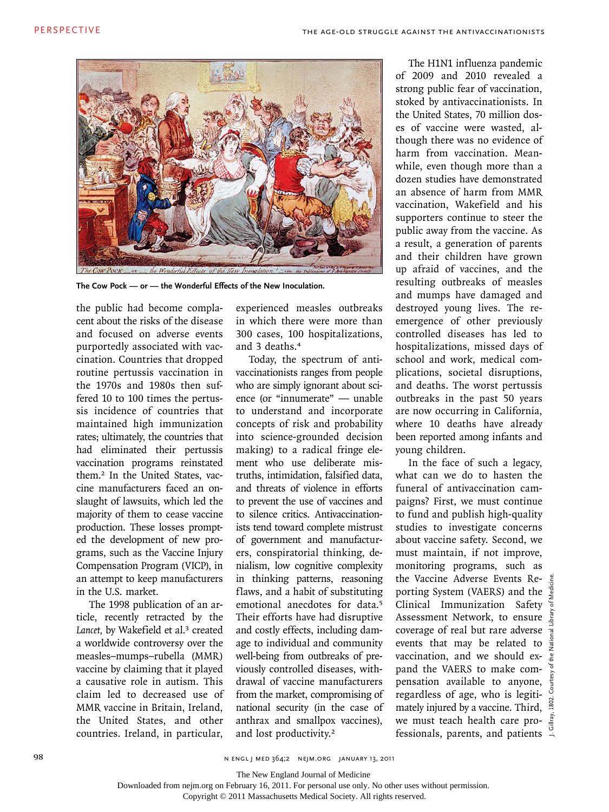

**The Cow Pock — or — the Wonderful Effects of the New Inoculation.**

the public had become complacent about the risks of the disease and focused on adverse events purportedly associated with vaccination. Countries that dropped routine pertussis vaccination in the 1970s and 1980s then suffered 10 to 100 times the pertussis incidence of countries that maintained high immunization rates; ultimately, the countries that had eliminated their pertussis vaccination programs reinstated them.2 In the United States, vaccine manufacturers faced an onslaught of lawsuits, which led the majority of them to cease vaccine production. These losses prompted the development of new programs, such as the Vaccine Injury Compensation Program (VICP), in an attempt to keep manufacturers in the U.S. market.

The 1998 publication of an article, recently retracted by the Lancet, by Wakefield et al.<sup>3</sup> created a worldwide controversy over the measles–mumps–rubella (MMR) vaccine by claiming that it played a causative role in autism. This claim led to decreased use of MMR vaccine in Britain, Ireland, the United States, and other countries. Ireland, in particular,

experienced measles outbreaks in which there were more than 300 cases, 100 hospitalizations, and 3 deaths.<sup>4</sup>

Today, the spectrum of antivaccinationists ranges from people who are simply ignorant about science (or "innumerate" — unable to understand and incorporate concepts of risk and probability into science-grounded decision making) to a radical fringe element who use deliberate mistruths, intimidation, falsified data, and threats of violence in efforts to prevent the use of vaccines and to silence critics. Antivaccinationists tend toward complete mistrust of government and manufacturers, conspiratorial thinking, denialism, low cognitive complexity in thinking patterns, reasoning flaws, and a habit of substituting emotional anecdotes for data.<sup>5</sup> Their efforts have had disruptive and costly effects, including damage to individual and community well-being from outbreaks of previously controlled diseases, withdrawal of vaccine manufacturers from the market, compromising of national security (in the case of anthrax and smallpox vaccines), and lost productivity.<sup>2</sup>

The H1N1 influenza pandemic of 2009 and 2010 revealed a strong public fear of vaccination, stoked by antivaccinationists. In the United States, 70 million doses of vaccine were wasted, although there was no evidence of harm from vaccination. Meanwhile, even though more than a dozen studies have demonstrated an absence of harm from MMR vaccination, Wakefield and his supporters continue to steer the public away from the vaccine. As a result, a generation of parents and their children have grown up afraid of vaccines, and the resulting outbreaks of measles and mumps have damaged and destroyed young lives. The reemergence of other previously controlled diseases has led to hospitalizations, missed days of school and work, medical complications, societal disruptions, and deaths. The worst pertussis outbreaks in the past 50 years are now occurring in California, where 10 deaths have already been reported among infants and young children.

In the face of such a legacy, what can we do to hasten the funeral of antivaccination campaigns? First, we must continue to fund and publish high-quality studies to investigate concerns about vaccine safety. Second, we must maintain, if not improve, monitoring programs, such as the Vaccine Adverse Events Reporting System (VAERS) and the Clinical Immunization Safety Assessment Network, to ensure  $\frac{5}{5}$ coverage of real but rare adverse  $\frac{1}{2}$ events that may be related to  $\frac{5}{3}$ vaccination, and we should ex-  $\frac{1}{2}$ pand the VAERS to make compensation available to anyone, regardless of age, who is legitimately injured by a vaccine. Third,  $\frac{8}{9}$ we must teach health care professionals, parents, and patients  $\frac{6}{1}$ 

The New England Journal of Medicine

Downloaded from nejm.org on February 16, 2011. For personal use only. No other uses without permission.

Copyright © 2011 Massachusetts Medical Society. All rights reserved.